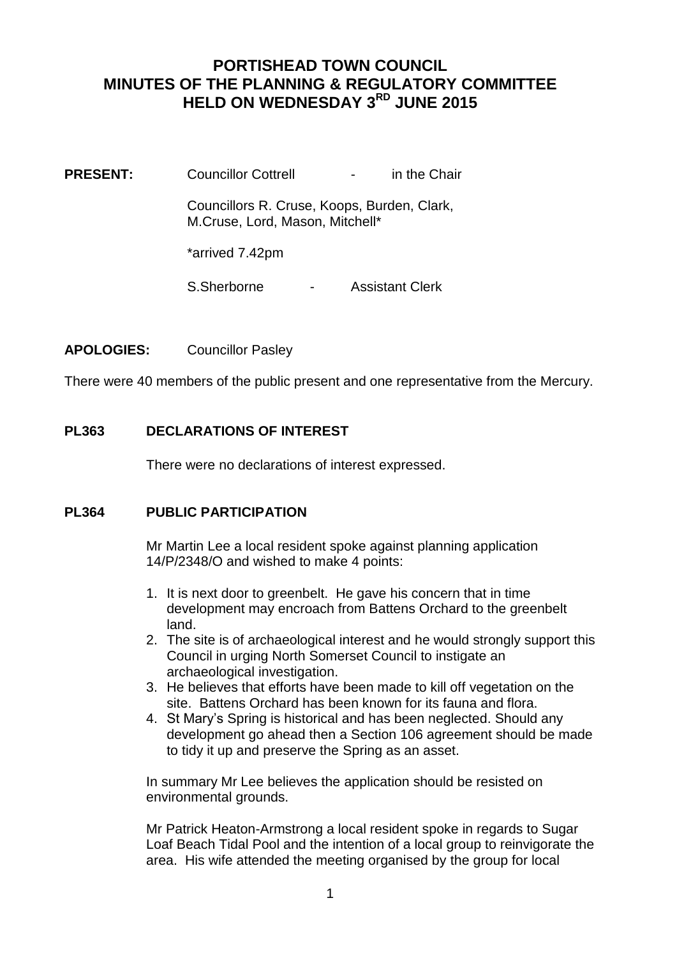# **PORTISHEAD TOWN COUNCIL MINUTES OF THE PLANNING & REGULATORY COMMITTEE HELD ON WEDNESDAY 3RD JUNE 2015**

**PRESENT:** Councillor Cottrell **-** in the Chair

Councillors R. Cruse, Koops, Burden, Clark, M.Cruse, Lord, Mason, Mitchell\*

\*arrived 7.42pm

S.Sherborne - Assistant Clerk

## **APOLOGIES:** Councillor Pasley

There were 40 members of the public present and one representative from the Mercury.

## **PL363 DECLARATIONS OF INTEREST**

There were no declarations of interest expressed.

## **PL364 PUBLIC PARTICIPATION**

Mr Martin Lee a local resident spoke against planning application 14/P/2348/O and wished to make 4 points:

- 1. It is next door to greenbelt. He gave his concern that in time development may encroach from Battens Orchard to the greenbelt land.
- 2. The site is of archaeological interest and he would strongly support this Council in urging North Somerset Council to instigate an archaeological investigation.
- 3. He believes that efforts have been made to kill off vegetation on the site. Battens Orchard has been known for its fauna and flora.
- 4. St Mary's Spring is historical and has been neglected. Should any development go ahead then a Section 106 agreement should be made to tidy it up and preserve the Spring as an asset.

In summary Mr Lee believes the application should be resisted on environmental grounds.

Mr Patrick Heaton-Armstrong a local resident spoke in regards to Sugar Loaf Beach Tidal Pool and the intention of a local group to reinvigorate the area. His wife attended the meeting organised by the group for local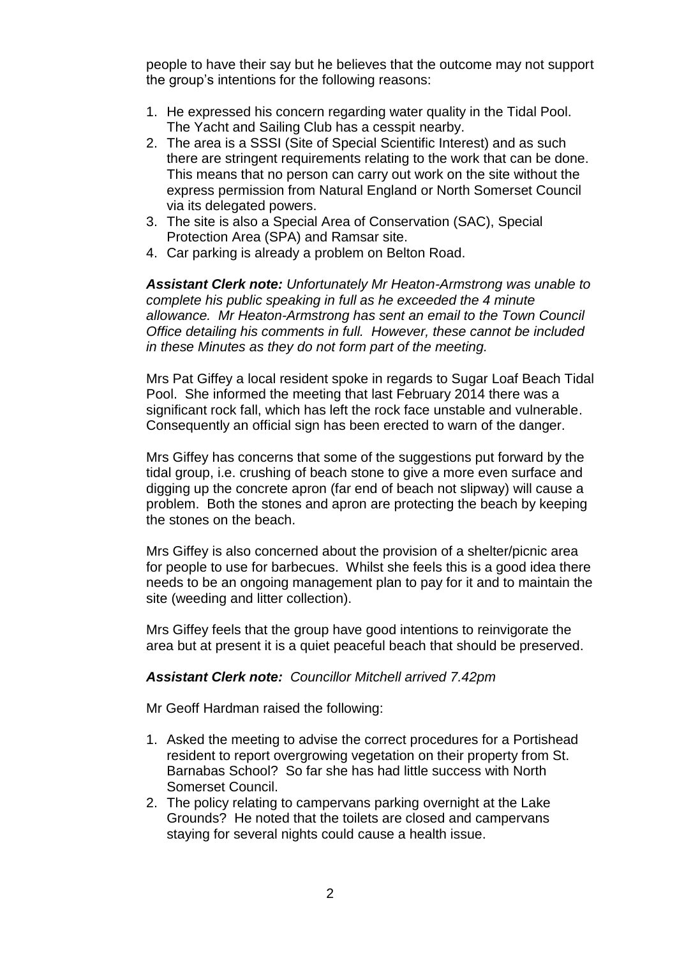people to have their say but he believes that the outcome may not support the group's intentions for the following reasons:

- 1. He expressed his concern regarding water quality in the Tidal Pool. The Yacht and Sailing Club has a cesspit nearby.
- 2. The area is a SSSI (Site of Special Scientific Interest) and as such there are stringent requirements relating to the work that can be done. This means that no person can carry out work on the site without the express permission from Natural England or North Somerset Council via its delegated powers.
- 3. The site is also a Special Area of Conservation (SAC), Special Protection Area (SPA) and Ramsar site.
- 4. Car parking is already a problem on Belton Road.

*Assistant Clerk note: Unfortunately Mr Heaton-Armstrong was unable to complete his public speaking in full as he exceeded the 4 minute allowance. Mr Heaton-Armstrong has sent an email to the Town Council Office detailing his comments in full. However, these cannot be included in these Minutes as they do not form part of the meeting.* 

Mrs Pat Giffey a local resident spoke in regards to Sugar Loaf Beach Tidal Pool. She informed the meeting that last February 2014 there was a significant rock fall, which has left the rock face unstable and vulnerable. Consequently an official sign has been erected to warn of the danger.

Mrs Giffey has concerns that some of the suggestions put forward by the tidal group, i.e. crushing of beach stone to give a more even surface and digging up the concrete apron (far end of beach not slipway) will cause a problem. Both the stones and apron are protecting the beach by keeping the stones on the beach.

Mrs Giffey is also concerned about the provision of a shelter/picnic area for people to use for barbecues. Whilst she feels this is a good idea there needs to be an ongoing management plan to pay for it and to maintain the site (weeding and litter collection).

Mrs Giffey feels that the group have good intentions to reinvigorate the area but at present it is a quiet peaceful beach that should be preserved.

## *Assistant Clerk note: Councillor Mitchell arrived 7.42pm*

Mr Geoff Hardman raised the following:

- 1. Asked the meeting to advise the correct procedures for a Portishead resident to report overgrowing vegetation on their property from St. Barnabas School? So far she has had little success with North Somerset Council.
- 2. The policy relating to campervans parking overnight at the Lake Grounds? He noted that the toilets are closed and campervans staying for several nights could cause a health issue.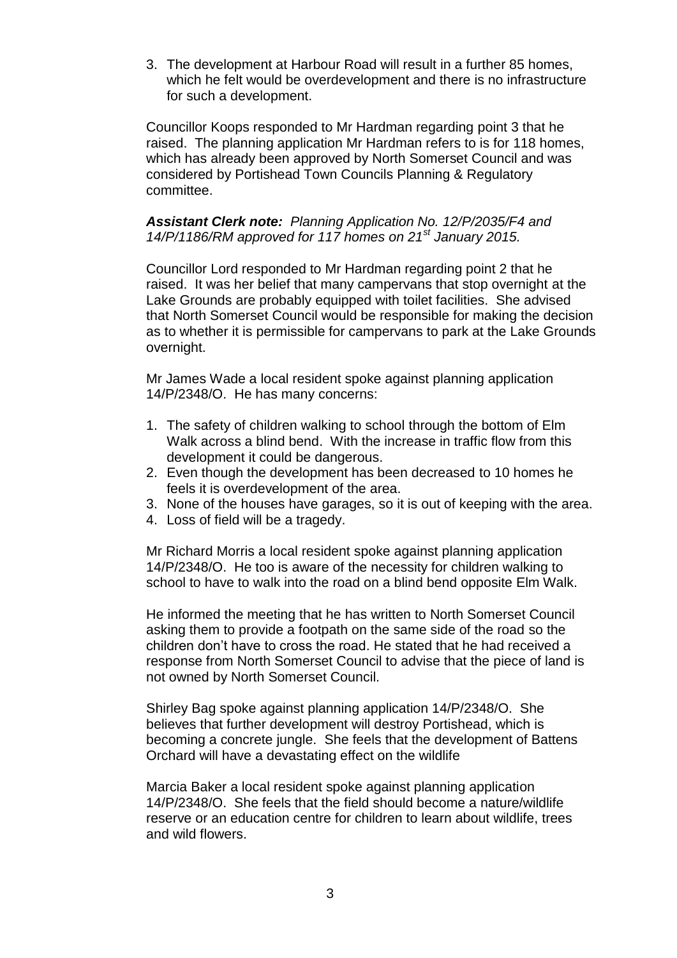3. The development at Harbour Road will result in a further 85 homes, which he felt would be overdevelopment and there is no infrastructure for such a development.

Councillor Koops responded to Mr Hardman regarding point 3 that he raised. The planning application Mr Hardman refers to is for 118 homes, which has already been approved by North Somerset Council and was considered by Portishead Town Councils Planning & Regulatory committee.

*Assistant Clerk note: Planning Application No. 12/P/2035/F4 and 14/P/1186/RM approved for 117 homes on 21st January 2015.*

Councillor Lord responded to Mr Hardman regarding point 2 that he raised. It was her belief that many campervans that stop overnight at the Lake Grounds are probably equipped with toilet facilities. She advised that North Somerset Council would be responsible for making the decision as to whether it is permissible for campervans to park at the Lake Grounds overnight.

Mr James Wade a local resident spoke against planning application 14/P/2348/O. He has many concerns:

- 1. The safety of children walking to school through the bottom of Elm Walk across a blind bend. With the increase in traffic flow from this development it could be dangerous.
- 2. Even though the development has been decreased to 10 homes he feels it is overdevelopment of the area.
- 3. None of the houses have garages, so it is out of keeping with the area.
- 4. Loss of field will be a tragedy.

Mr Richard Morris a local resident spoke against planning application 14/P/2348/O. He too is aware of the necessity for children walking to school to have to walk into the road on a blind bend opposite Elm Walk.

He informed the meeting that he has written to North Somerset Council asking them to provide a footpath on the same side of the road so the children don't have to cross the road. He stated that he had received a response from North Somerset Council to advise that the piece of land is not owned by North Somerset Council.

Shirley Bag spoke against planning application 14/P/2348/O. She believes that further development will destroy Portishead, which is becoming a concrete jungle. She feels that the development of Battens Orchard will have a devastating effect on the wildlife

Marcia Baker a local resident spoke against planning application 14/P/2348/O. She feels that the field should become a nature/wildlife reserve or an education centre for children to learn about wildlife, trees and wild flowers.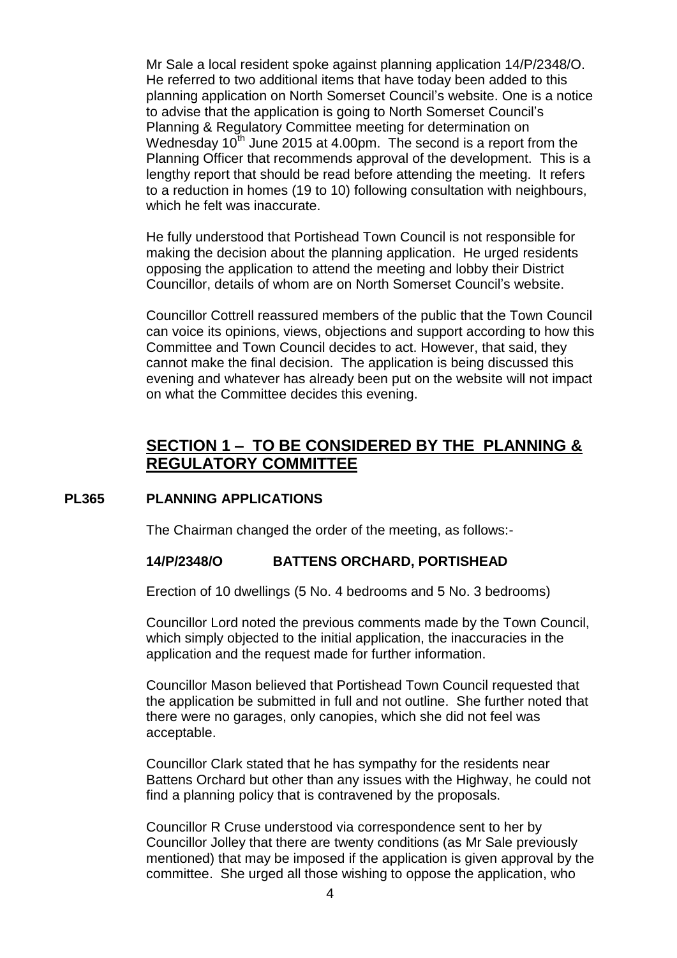Mr Sale a local resident spoke against planning application 14/P/2348/O. He referred to two additional items that have today been added to this planning application on North Somerset Council's website. One is a notice to advise that the application is going to North Somerset Council's Planning & Regulatory Committee meeting for determination on Wednesday  $10<sup>th</sup>$  June 2015 at 4.00pm. The second is a report from the Planning Officer that recommends approval of the development. This is a lengthy report that should be read before attending the meeting. It refers to a reduction in homes (19 to 10) following consultation with neighbours, which he felt was inaccurate.

He fully understood that Portishead Town Council is not responsible for making the decision about the planning application. He urged residents opposing the application to attend the meeting and lobby their District Councillor, details of whom are on North Somerset Council's website.

Councillor Cottrell reassured members of the public that the Town Council can voice its opinions, views, objections and support according to how this Committee and Town Council decides to act. However, that said, they cannot make the final decision. The application is being discussed this evening and whatever has already been put on the website will not impact on what the Committee decides this evening.

## **SECTION 1 – TO BE CONSIDERED BY THE PLANNING & REGULATORY COMMITTEE**

## **PL365 PLANNING APPLICATIONS**

The Chairman changed the order of the meeting, as follows:-

#### **14/P/2348/O BATTENS ORCHARD, PORTISHEAD**

Erection of 10 dwellings (5 No. 4 bedrooms and 5 No. 3 bedrooms)

Councillor Lord noted the previous comments made by the Town Council, which simply objected to the initial application, the inaccuracies in the application and the request made for further information.

Councillor Mason believed that Portishead Town Council requested that the application be submitted in full and not outline. She further noted that there were no garages, only canopies, which she did not feel was acceptable.

Councillor Clark stated that he has sympathy for the residents near Battens Orchard but other than any issues with the Highway, he could not find a planning policy that is contravened by the proposals.

Councillor R Cruse understood via correspondence sent to her by Councillor Jolley that there are twenty conditions (as Mr Sale previously mentioned) that may be imposed if the application is given approval by the committee. She urged all those wishing to oppose the application, who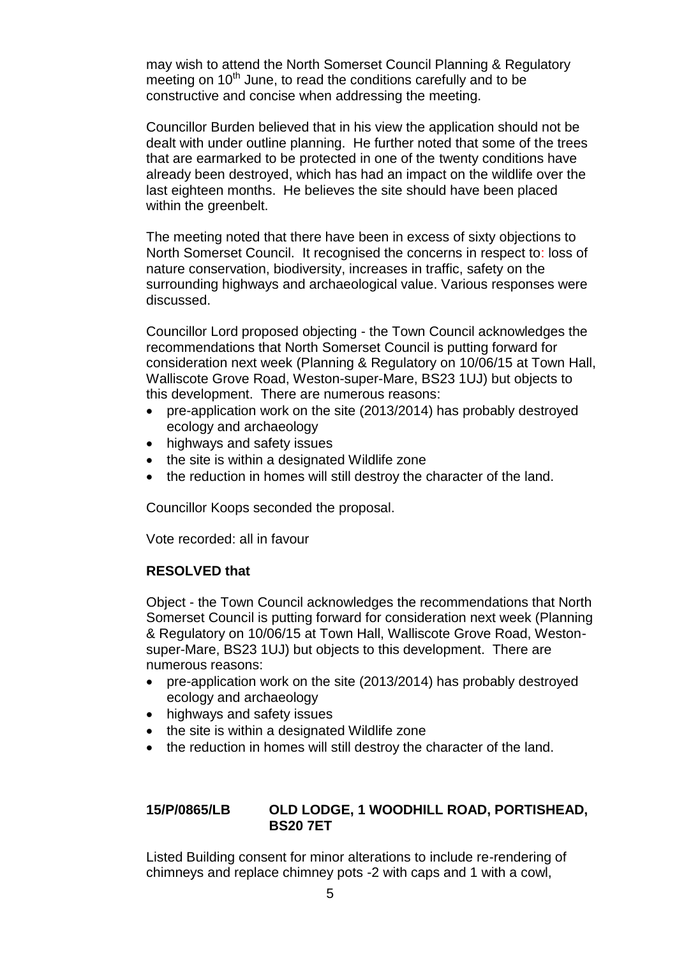may wish to attend the North Somerset Council Planning & Regulatory meeting on  $10<sup>th</sup>$  June, to read the conditions carefully and to be constructive and concise when addressing the meeting.

Councillor Burden believed that in his view the application should not be dealt with under outline planning. He further noted that some of the trees that are earmarked to be protected in one of the twenty conditions have already been destroyed, which has had an impact on the wildlife over the last eighteen months. He believes the site should have been placed within the greenbelt.

The meeting noted that there have been in excess of sixty objections to North Somerset Council. It recognised the concerns in respect to: loss of nature conservation, biodiversity, increases in traffic, safety on the surrounding highways and archaeological value. Various responses were discussed.

Councillor Lord proposed objecting - the Town Council acknowledges the recommendations that North Somerset Council is putting forward for consideration next week (Planning & Regulatory on 10/06/15 at Town Hall, Walliscote Grove Road, Weston-super-Mare, BS23 1UJ) but objects to this development. There are numerous reasons:

- pre-application work on the site (2013/2014) has probably destroyed ecology and archaeology
- highways and safety issues
- the site is within a designated Wildlife zone
- the reduction in homes will still destroy the character of the land.

Councillor Koops seconded the proposal.

Vote recorded: all in favour

## **RESOLVED that**

Object - the Town Council acknowledges the recommendations that North Somerset Council is putting forward for consideration next week (Planning & Regulatory on 10/06/15 at Town Hall, Walliscote Grove Road, Westonsuper-Mare, BS23 1UJ) but objects to this development. There are numerous reasons:

- pre-application work on the site (2013/2014) has probably destroyed ecology and archaeology
- highways and safety issues
- the site is within a designated Wildlife zone
- the reduction in homes will still destrov the character of the land.

## **15/P/0865/LB OLD LODGE, 1 WOODHILL ROAD, PORTISHEAD, BS20 7ET**

Listed Building consent for minor alterations to include re-rendering of chimneys and replace chimney pots -2 with caps and 1 with a cowl,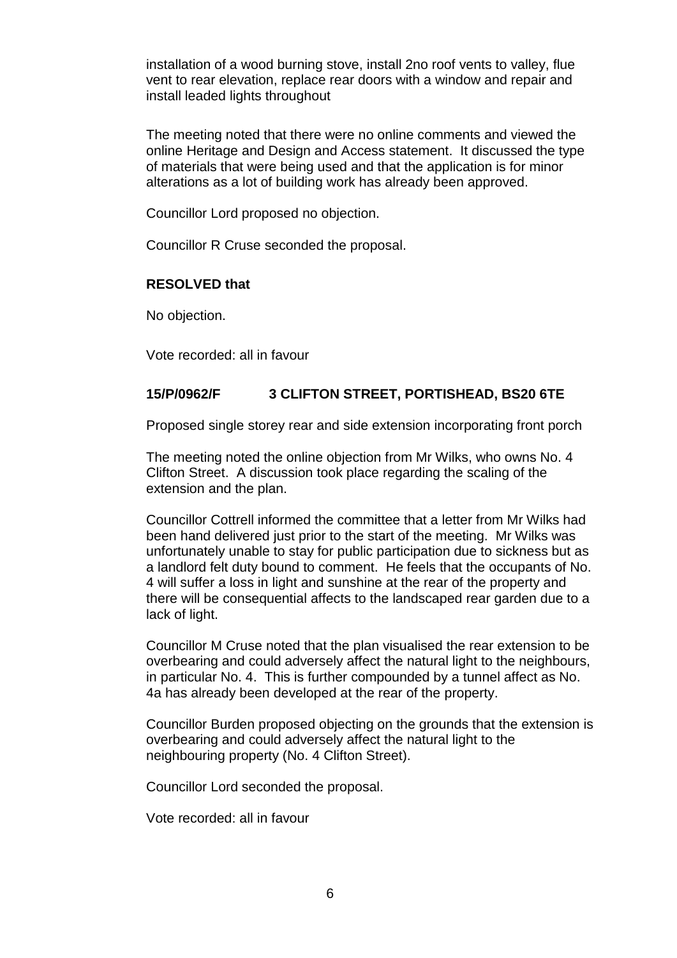installation of a wood burning stove, install 2no roof vents to valley, flue vent to rear elevation, replace rear doors with a window and repair and install leaded lights throughout

The meeting noted that there were no online comments and viewed the online Heritage and Design and Access statement. It discussed the type of materials that were being used and that the application is for minor alterations as a lot of building work has already been approved.

Councillor Lord proposed no objection.

Councillor R Cruse seconded the proposal.

## **RESOLVED that**

No objection.

Vote recorded: all in favour

## **15/P/0962/F 3 CLIFTON STREET, PORTISHEAD, BS20 6TE**

Proposed single storey rear and side extension incorporating front porch

The meeting noted the online objection from Mr Wilks, who owns No. 4 Clifton Street. A discussion took place regarding the scaling of the extension and the plan.

Councillor Cottrell informed the committee that a letter from Mr Wilks had been hand delivered just prior to the start of the meeting. Mr Wilks was unfortunately unable to stay for public participation due to sickness but as a landlord felt duty bound to comment. He feels that the occupants of No. 4 will suffer a loss in light and sunshine at the rear of the property and there will be consequential affects to the landscaped rear garden due to a lack of light.

Councillor M Cruse noted that the plan visualised the rear extension to be overbearing and could adversely affect the natural light to the neighbours, in particular No. 4. This is further compounded by a tunnel affect as No. 4a has already been developed at the rear of the property.

Councillor Burden proposed objecting on the grounds that the extension is overbearing and could adversely affect the natural light to the neighbouring property (No. 4 Clifton Street).

Councillor Lord seconded the proposal.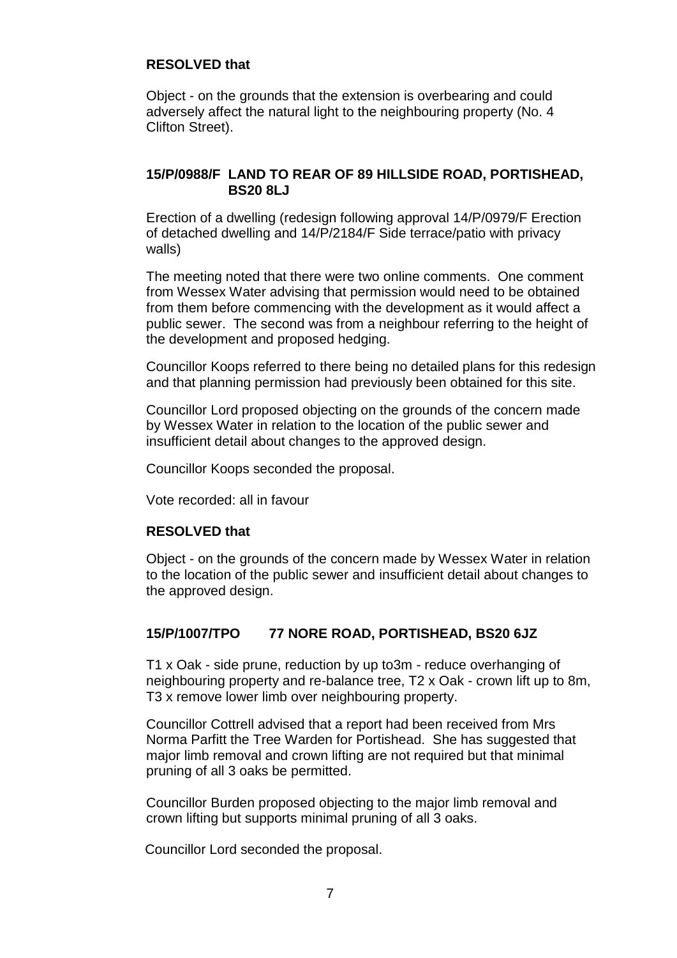## **RESOLVED that**

Object - on the grounds that the extension is overbearing and could adversely affect the natural light to the neighbouring property (No. 4 Clifton Street).

## **15/P/0988/F LAND TO REAR OF 89 HILLSIDE ROAD, PORTISHEAD, BS20 8LJ**

Erection of a dwelling (redesign following approval 14/P/0979/F Erection of detached dwelling and 14/P/2184/F Side terrace/patio with privacy walls)

The meeting noted that there were two online comments. One comment from Wessex Water advising that permission would need to be obtained from them before commencing with the development as it would affect a public sewer. The second was from a neighbour referring to the height of the development and proposed hedging.

Councillor Koops referred to there being no detailed plans for this redesign and that planning permission had previously been obtained for this site.

Councillor Lord proposed objecting on the grounds of the concern made by Wessex Water in relation to the location of the public sewer and insufficient detail about changes to the approved design.

Councillor Koops seconded the proposal.

Vote recorded: all in favour

## **RESOLVED that**

Object - on the grounds of the concern made by Wessex Water in relation to the location of the public sewer and insufficient detail about changes to the approved design.

## **15/P/1007/TPO 77 NORE ROAD, PORTISHEAD, BS20 6JZ**

T1 x Oak - side prune, reduction by up to3m - reduce overhanging of neighbouring property and re-balance tree, T2 x Oak - crown lift up to 8m, T3 x remove lower limb over neighbouring property.

Councillor Cottrell advised that a report had been received from Mrs Norma Parfitt the Tree Warden for Portishead. She has suggested that major limb removal and crown lifting are not required but that minimal pruning of all 3 oaks be permitted.

Councillor Burden proposed objecting to the major limb removal and crown lifting but supports minimal pruning of all 3 oaks.

Councillor Lord seconded the proposal.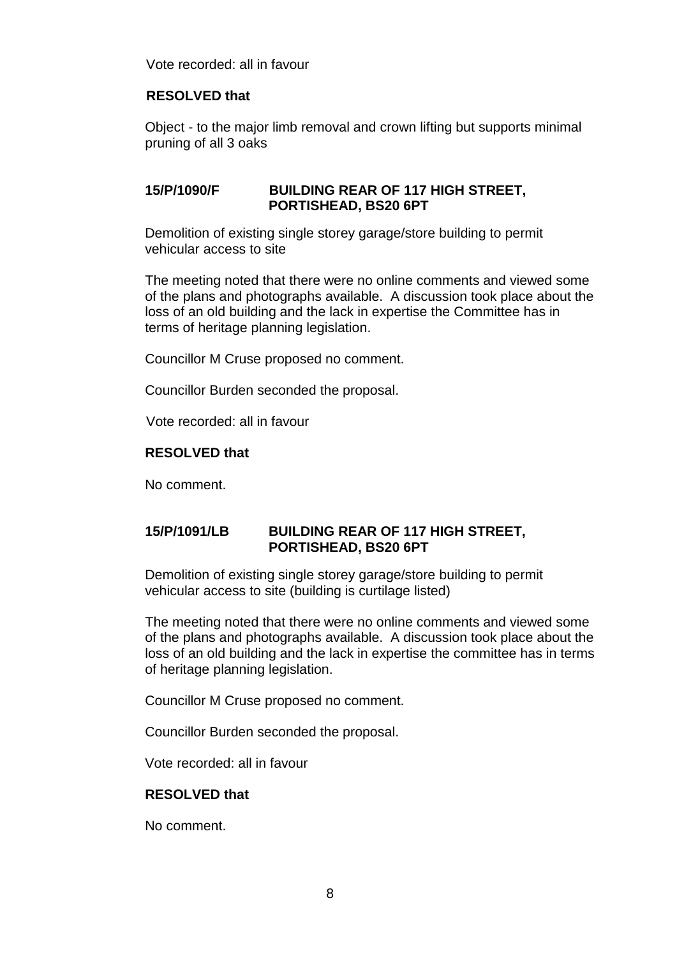Vote recorded: all in favour

## **RESOLVED that**

Object - to the major limb removal and crown lifting but supports minimal pruning of all 3 oaks

## **15/P/1090/F BUILDING REAR OF 117 HIGH STREET, PORTISHEAD, BS20 6PT**

Demolition of existing single storey garage/store building to permit vehicular access to site

The meeting noted that there were no online comments and viewed some of the plans and photographs available. A discussion took place about the loss of an old building and the lack in expertise the Committee has in terms of heritage planning legislation.

Councillor M Cruse proposed no comment.

Councillor Burden seconded the proposal.

Vote recorded: all in favour

## **RESOLVED that**

No comment.

## **15/P/1091/LB BUILDING REAR OF 117 HIGH STREET, PORTISHEAD, BS20 6PT**

Demolition of existing single storey garage/store building to permit vehicular access to site (building is curtilage listed)

The meeting noted that there were no online comments and viewed some of the plans and photographs available. A discussion took place about the loss of an old building and the lack in expertise the committee has in terms of heritage planning legislation.

Councillor M Cruse proposed no comment.

Councillor Burden seconded the proposal.

Vote recorded: all in favour

#### **RESOLVED that**

No comment.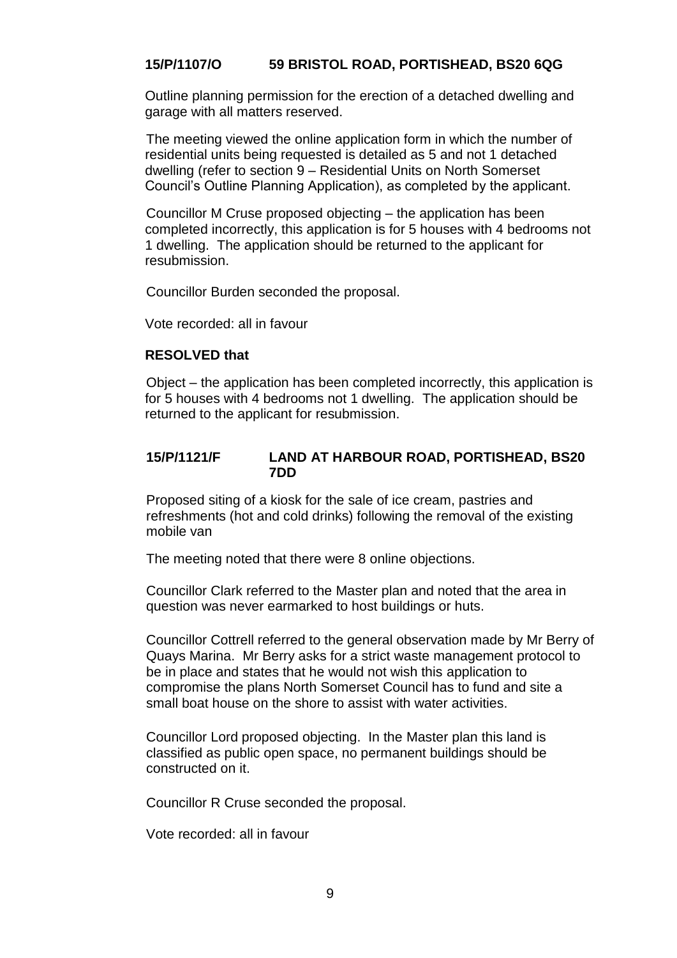## **15/P/1107/O 59 BRISTOL ROAD, PORTISHEAD, BS20 6QG**

Outline planning permission for the erection of a detached dwelling and garage with all matters reserved.

The meeting viewed the online application form in which the number of residential units being requested is detailed as 5 and not 1 detached dwelling (refer to section 9 – Residential Units on North Somerset Council's Outline Planning Application), as completed by the applicant.

Councillor M Cruse proposed objecting – the application has been completed incorrectly, this application is for 5 houses with 4 bedrooms not 1 dwelling. The application should be returned to the applicant for resubmission.

Councillor Burden seconded the proposal.

Vote recorded: all in favour

## **RESOLVED that**

Object – the application has been completed incorrectly, this application is for 5 houses with 4 bedrooms not 1 dwelling. The application should be returned to the applicant for resubmission.

## **15/P/1121/F LAND AT HARBOUR ROAD, PORTISHEAD, BS20 7DD**

Proposed siting of a kiosk for the sale of ice cream, pastries and refreshments (hot and cold drinks) following the removal of the existing mobile van

The meeting noted that there were 8 online objections.

Councillor Clark referred to the Master plan and noted that the area in question was never earmarked to host buildings or huts.

Councillor Cottrell referred to the general observation made by Mr Berry of Quays Marina. Mr Berry asks for a strict waste management protocol to be in place and states that he would not wish this application to compromise the plans North Somerset Council has to fund and site a small boat house on the shore to assist with water activities.

Councillor Lord proposed objecting. In the Master plan this land is classified as public open space, no permanent buildings should be constructed on it.

Councillor R Cruse seconded the proposal.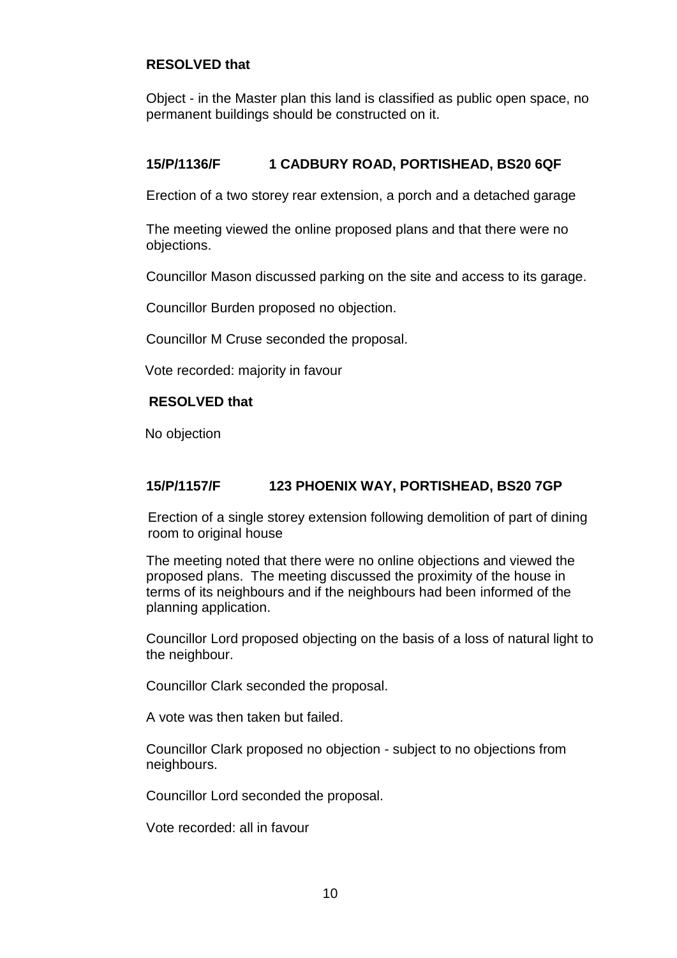## **RESOLVED that**

Object - in the Master plan this land is classified as public open space, no permanent buildings should be constructed on it.

## **15/P/1136/F 1 CADBURY ROAD, PORTISHEAD, BS20 6QF**

Erection of a two storey rear extension, a porch and a detached garage

The meeting viewed the online proposed plans and that there were no objections.

Councillor Mason discussed parking on the site and access to its garage.

Councillor Burden proposed no objection.

Councillor M Cruse seconded the proposal.

Vote recorded: majority in favour

#### **RESOLVED that**

No objection

## **15/P/1157/F 123 PHOENIX WAY, PORTISHEAD, BS20 7GP**

 Erection of a single storey extension following demolition of part of dining room to original house

The meeting noted that there were no online objections and viewed the proposed plans. The meeting discussed the proximity of the house in terms of its neighbours and if the neighbours had been informed of the planning application.

Councillor Lord proposed objecting on the basis of a loss of natural light to the neighbour.

Councillor Clark seconded the proposal.

A vote was then taken but failed.

Councillor Clark proposed no objection - subject to no objections from neighbours.

Councillor Lord seconded the proposal.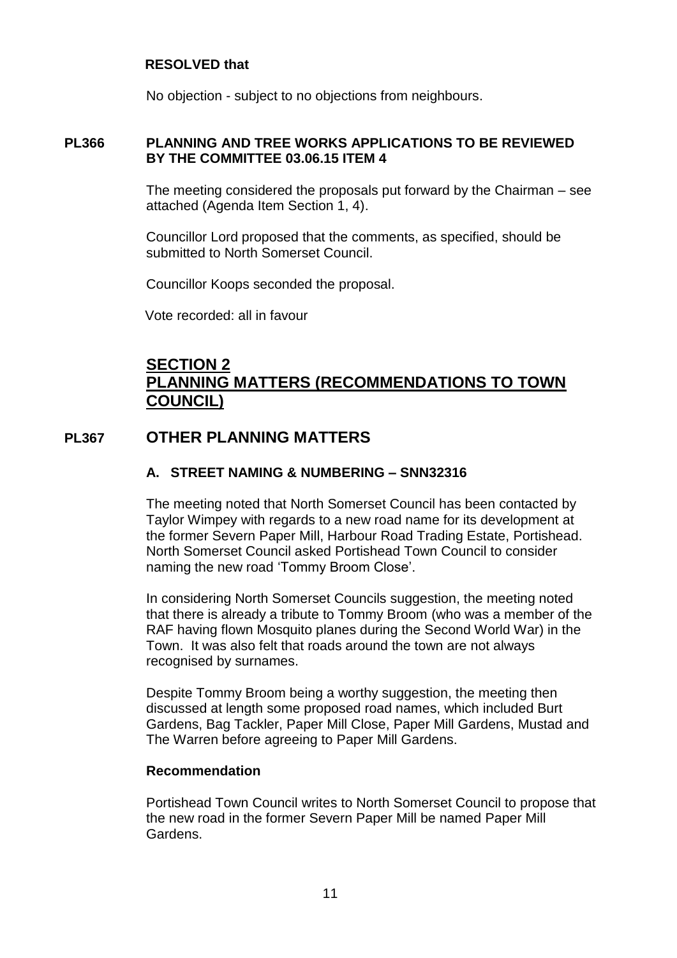## **RESOLVED that**

No objection - subject to no objections from neighbours.

## **PL366 PLANNING AND TREE WORKS APPLICATIONS TO BE REVIEWED BY THE COMMITTEE 03.06.15 ITEM 4**

The meeting considered the proposals put forward by the Chairman – see attached (Agenda Item Section 1, 4).

Councillor Lord proposed that the comments, as specified, should be submitted to North Somerset Council.

Councillor Koops seconded the proposal.

Vote recorded: all in favour

# **SECTION 2 PLANNING MATTERS (RECOMMENDATIONS TO TOWN COUNCIL)**

## **PL367 OTHER PLANNING MATTERS**

## **A. STREET NAMING & NUMBERING – SNN32316**

The meeting noted that North Somerset Council has been contacted by Taylor Wimpey with regards to a new road name for its development at the former Severn Paper Mill, Harbour Road Trading Estate, Portishead. North Somerset Council asked Portishead Town Council to consider naming the new road 'Tommy Broom Close'.

In considering North Somerset Councils suggestion, the meeting noted that there is already a tribute to Tommy Broom (who was a member of the RAF having flown Mosquito planes during the Second World War) in the Town. It was also felt that roads around the town are not always recognised by surnames.

Despite Tommy Broom being a worthy suggestion, the meeting then discussed at length some proposed road names, which included Burt Gardens, Bag Tackler, Paper Mill Close, Paper Mill Gardens, Mustad and The Warren before agreeing to Paper Mill Gardens.

## **Recommendation**

Portishead Town Council writes to North Somerset Council to propose that the new road in the former Severn Paper Mill be named Paper Mill Gardens.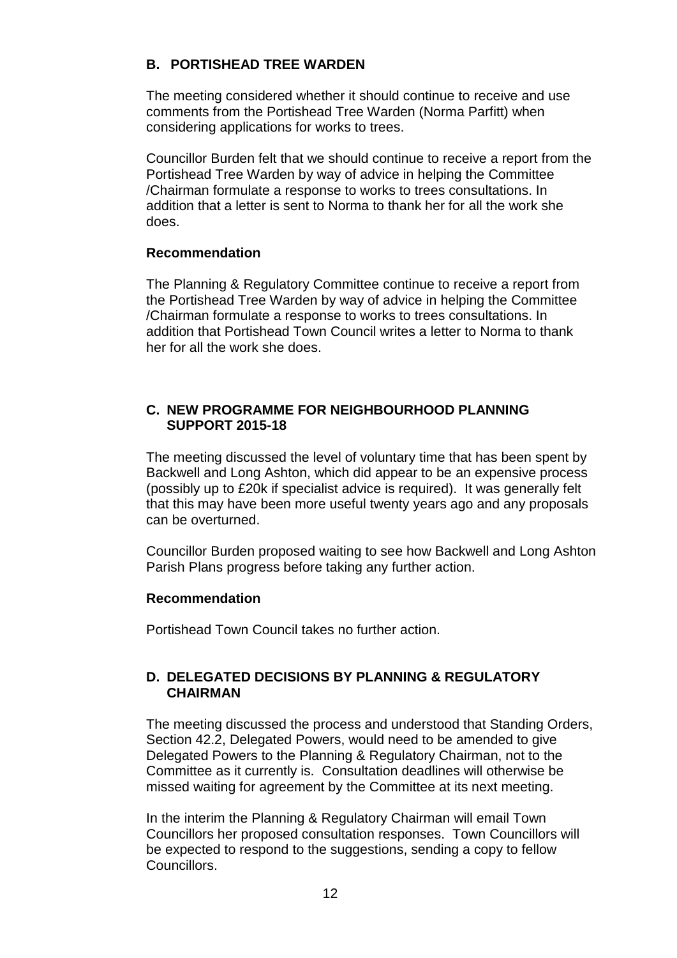## **B. PORTISHEAD TREE WARDEN**

The meeting considered whether it should continue to receive and use comments from the Portishead Tree Warden (Norma Parfitt) when considering applications for works to trees.

Councillor Burden felt that we should continue to receive a report from the Portishead Tree Warden by way of advice in helping the Committee /Chairman formulate a response to works to trees consultations. In addition that a letter is sent to Norma to thank her for all the work she does.

## **Recommendation**

The Planning & Regulatory Committee continue to receive a report from the Portishead Tree Warden by way of advice in helping the Committee /Chairman formulate a response to works to trees consultations. In addition that Portishead Town Council writes a letter to Norma to thank her for all the work she does.

## **C. NEW PROGRAMME FOR NEIGHBOURHOOD PLANNING SUPPORT 2015-18**

The meeting discussed the level of voluntary time that has been spent by Backwell and Long Ashton, which did appear to be an expensive process (possibly up to £20k if specialist advice is required). It was generally felt that this may have been more useful twenty years ago and any proposals can be overturned.

Councillor Burden proposed waiting to see how Backwell and Long Ashton Parish Plans progress before taking any further action.

## **Recommendation**

Portishead Town Council takes no further action.

## **D. DELEGATED DECISIONS BY PLANNING & REGULATORY CHAIRMAN**

The meeting discussed the process and understood that Standing Orders, Section 42.2, Delegated Powers, would need to be amended to give Delegated Powers to the Planning & Regulatory Chairman, not to the Committee as it currently is. Consultation deadlines will otherwise be missed waiting for agreement by the Committee at its next meeting.

In the interim the Planning & Regulatory Chairman will email Town Councillors her proposed consultation responses. Town Councillors will be expected to respond to the suggestions, sending a copy to fellow Councillors.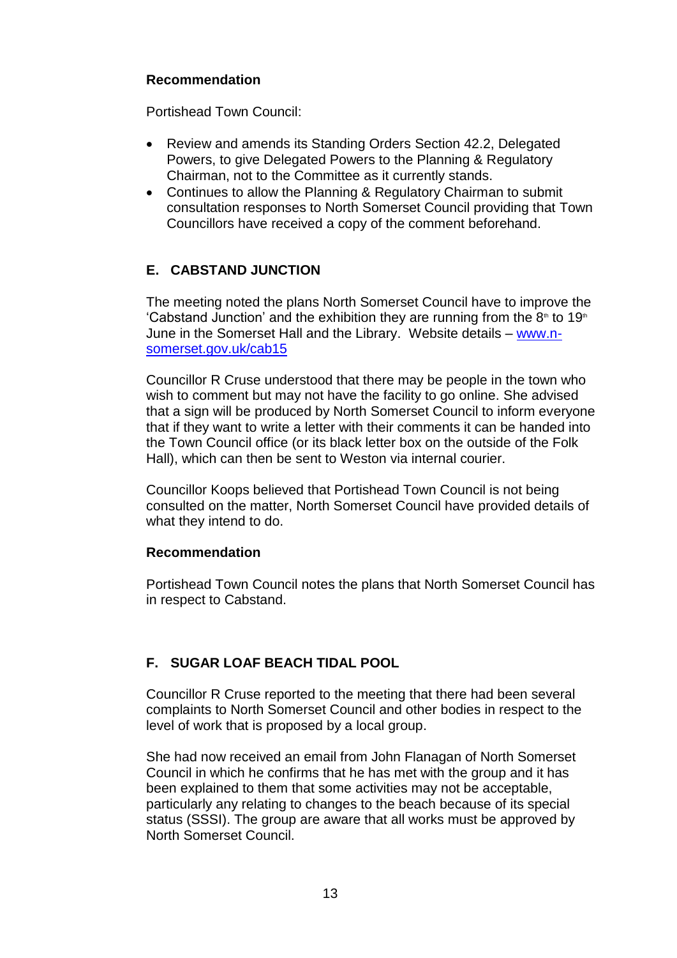## **Recommendation**

Portishead Town Council:

- Review and amends its Standing Orders Section 42.2, Delegated Powers, to give Delegated Powers to the Planning & Regulatory Chairman, not to the Committee as it currently stands.
- Continues to allow the Planning & Regulatory Chairman to submit consultation responses to North Somerset Council providing that Town Councillors have received a copy of the comment beforehand.

## **E. CABSTAND JUNCTION**

The meeting noted the plans North Somerset Council have to improve the 'Cabstand Junction' and the exhibition they are running from the  $8<sup>th</sup>$  to 19<sup>th</sup> June in the Somerset Hall and the Library. Website details – [www.n](http://www.n-somerset.gov.uk/cab15)[somerset.gov.uk/cab15](http://www.n-somerset.gov.uk/cab15)

Councillor R Cruse understood that there may be people in the town who wish to comment but may not have the facility to go online. She advised that a sign will be produced by North Somerset Council to inform everyone that if they want to write a letter with their comments it can be handed into the Town Council office (or its black letter box on the outside of the Folk Hall), which can then be sent to Weston via internal courier.

Councillor Koops believed that Portishead Town Council is not being consulted on the matter, North Somerset Council have provided details of what they intend to do.

## **Recommendation**

Portishead Town Council notes the plans that North Somerset Council has in respect to Cabstand.

## **F. SUGAR LOAF BEACH TIDAL POOL**

Councillor R Cruse reported to the meeting that there had been several complaints to North Somerset Council and other bodies in respect to the level of work that is proposed by a local group.

She had now received an email from John Flanagan of North Somerset Council in which he confirms that he has met with the group and it has been explained to them that some activities may not be acceptable, particularly any relating to changes to the beach because of its special status (SSSI). The group are aware that all works must be approved by North Somerset Council.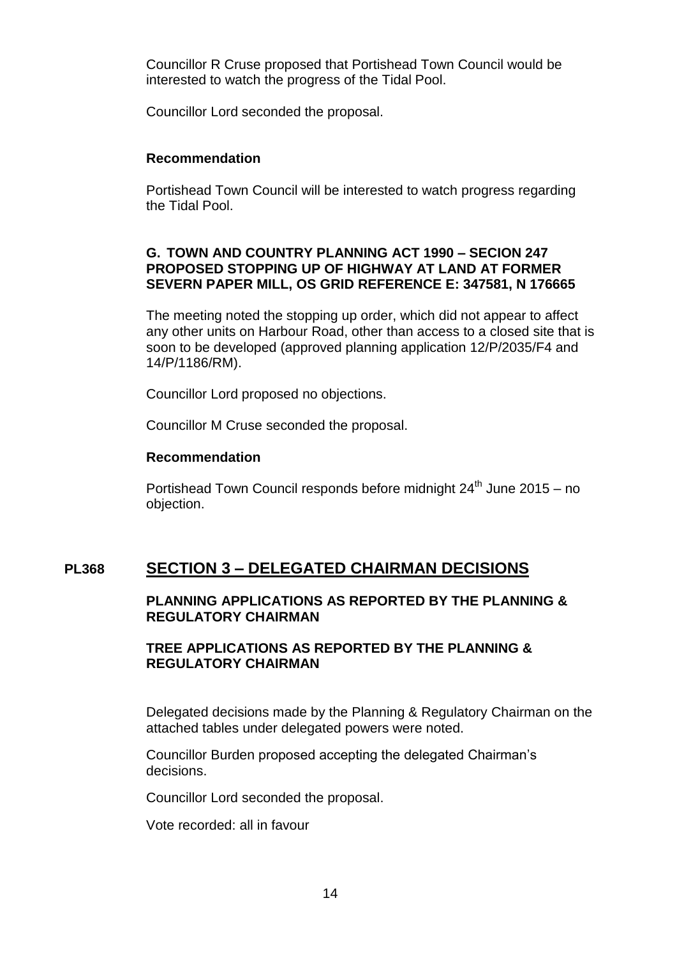Councillor R Cruse proposed that Portishead Town Council would be interested to watch the progress of the Tidal Pool.

Councillor Lord seconded the proposal.

#### **Recommendation**

Portishead Town Council will be interested to watch progress regarding the Tidal Pool.

## **G. TOWN AND COUNTRY PLANNING ACT 1990 – SECION 247 PROPOSED STOPPING UP OF HIGHWAY AT LAND AT FORMER SEVERN PAPER MILL, OS GRID REFERENCE E: 347581, N 176665**

The meeting noted the stopping up order, which did not appear to affect any other units on Harbour Road, other than access to a closed site that is soon to be developed (approved planning application 12/P/2035/F4 and 14/P/1186/RM).

Councillor Lord proposed no objections.

Councillor M Cruse seconded the proposal.

## **Recommendation**

Portishead Town Council responds before midnight  $24<sup>th</sup>$  June  $2015 - no$ objection.

## **PL368 SECTION 3 – DELEGATED CHAIRMAN DECISIONS**

## **PLANNING APPLICATIONS AS REPORTED BY THE PLANNING & REGULATORY CHAIRMAN**

## **TREE APPLICATIONS AS REPORTED BY THE PLANNING & REGULATORY CHAIRMAN**

Delegated decisions made by the Planning & Regulatory Chairman on the attached tables under delegated powers were noted.

Councillor Burden proposed accepting the delegated Chairman's decisions.

Councillor Lord seconded the proposal.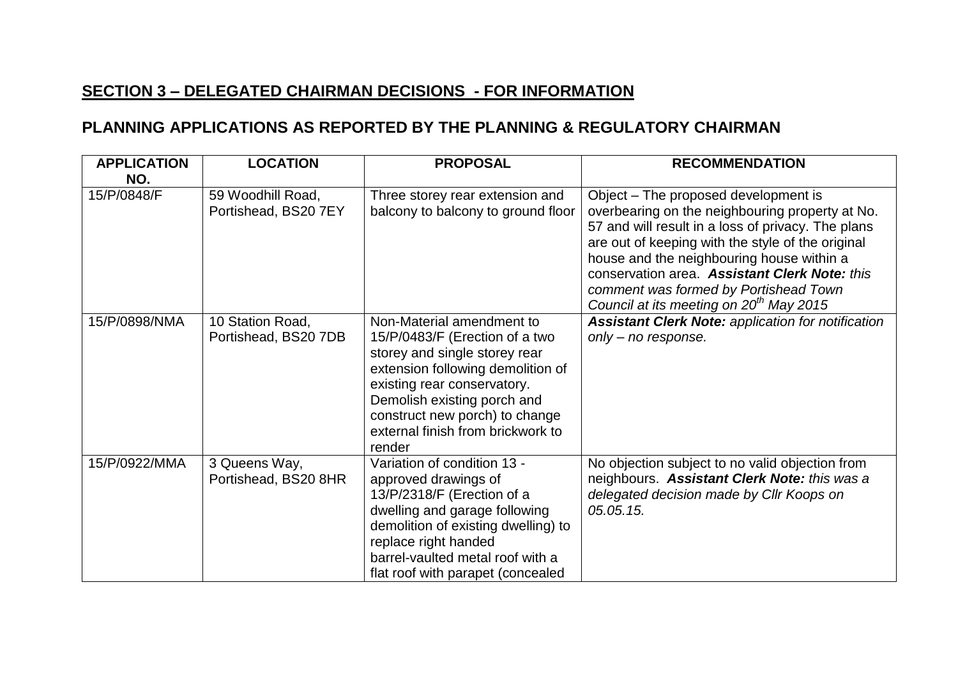# **SECTION 3 – DELEGATED CHAIRMAN DECISIONS - FOR INFORMATION**

# **PLANNING APPLICATIONS AS REPORTED BY THE PLANNING & REGULATORY CHAIRMAN**

| <b>APPLICATION</b><br>NO. | <b>LOCATION</b>                           | <b>PROPOSAL</b>                                                                                                                                                                                                                                                                  | <b>RECOMMENDATION</b>                                                                                                                                                                                                                                                                                                                                                                            |
|---------------------------|-------------------------------------------|----------------------------------------------------------------------------------------------------------------------------------------------------------------------------------------------------------------------------------------------------------------------------------|--------------------------------------------------------------------------------------------------------------------------------------------------------------------------------------------------------------------------------------------------------------------------------------------------------------------------------------------------------------------------------------------------|
| 15/P/0848/F               | 59 Woodhill Road,<br>Portishead, BS20 7EY | Three storey rear extension and<br>balcony to balcony to ground floor                                                                                                                                                                                                            | Object – The proposed development is<br>overbearing on the neighbouring property at No.<br>57 and will result in a loss of privacy. The plans<br>are out of keeping with the style of the original<br>house and the neighbouring house within a<br>conservation area. Assistant Clerk Note: this<br>comment was formed by Portishead Town<br>Council at its meeting on 20 <sup>th</sup> May 2015 |
| 15/P/0898/NMA             | 10 Station Road,<br>Portishead, BS20 7DB  | Non-Material amendment to<br>15/P/0483/F (Erection of a two<br>storey and single storey rear<br>extension following demolition of<br>existing rear conservatory.<br>Demolish existing porch and<br>construct new porch) to change<br>external finish from brickwork to<br>render | <b>Assistant Clerk Note: application for notification</b><br>$only - no response.$                                                                                                                                                                                                                                                                                                               |
| 15/P/0922/MMA             | 3 Queens Way,<br>Portishead, BS20 8HR     | Variation of condition 13 -<br>approved drawings of<br>13/P/2318/F (Erection of a<br>dwelling and garage following<br>demolition of existing dwelling) to<br>replace right handed<br>barrel-vaulted metal roof with a<br>flat roof with parapet (concealed                       | No objection subject to no valid objection from<br>neighbours. Assistant Clerk Note: this was a<br>delegated decision made by Cllr Koops on<br>05.05.15.                                                                                                                                                                                                                                         |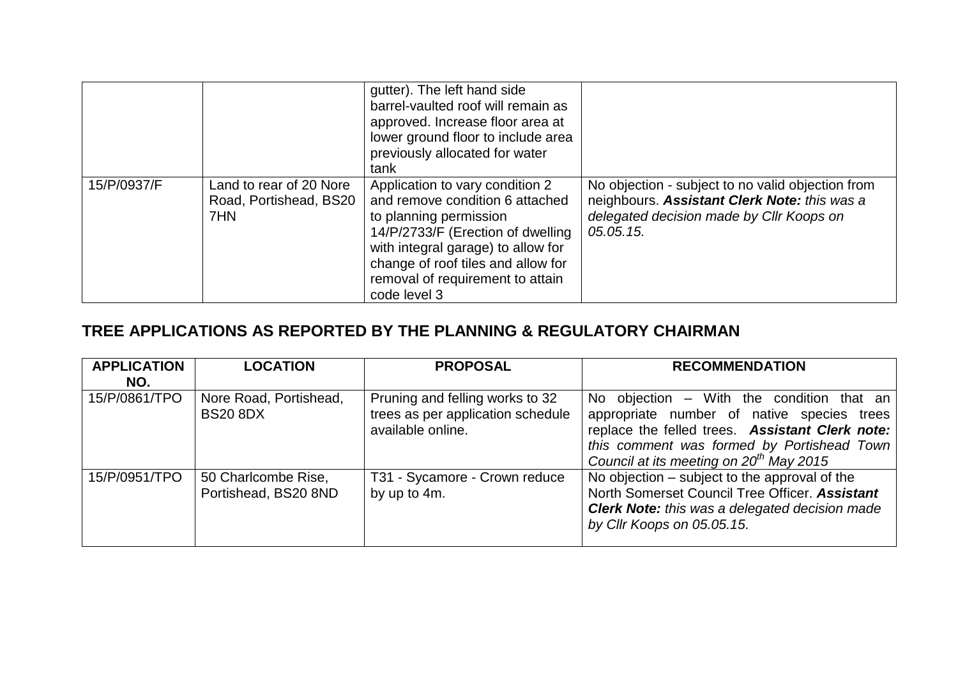|             |                                                          | gutter). The left hand side<br>barrel-vaulted roof will remain as<br>approved. Increase floor area at<br>lower ground floor to include area<br>previously allocated for water<br>tank                                                                             |                                                                                                                                                            |
|-------------|----------------------------------------------------------|-------------------------------------------------------------------------------------------------------------------------------------------------------------------------------------------------------------------------------------------------------------------|------------------------------------------------------------------------------------------------------------------------------------------------------------|
| 15/P/0937/F | Land to rear of 20 Nore<br>Road, Portishead, BS20<br>7HN | Application to vary condition 2<br>and remove condition 6 attached<br>to planning permission<br>14/P/2733/F (Erection of dwelling<br>with integral garage) to allow for<br>change of roof tiles and allow for<br>removal of requirement to attain<br>code level 3 | No objection - subject to no valid objection from<br>neighbours. Assistant Clerk Note: this was a<br>delegated decision made by Cllr Koops on<br>05.05.15. |

# **TREE APPLICATIONS AS REPORTED BY THE PLANNING & REGULATORY CHAIRMAN**

| <b>APPLICATION</b> | <b>LOCATION</b>                             | <b>PROPOSAL</b>                                                                           | <b>RECOMMENDATION</b>                                                                                                                                                                                                                    |
|--------------------|---------------------------------------------|-------------------------------------------------------------------------------------------|------------------------------------------------------------------------------------------------------------------------------------------------------------------------------------------------------------------------------------------|
| NO.                |                                             |                                                                                           |                                                                                                                                                                                                                                          |
| 15/P/0861/TPO      | Nore Road, Portishead,<br><b>BS20 8DX</b>   | Pruning and felling works to 32<br>trees as per application schedule<br>available online. | No objection – With the condition that an<br>appropriate number of native species trees<br>replace the felled trees. Assistant Clerk note:<br>this comment was formed by Portishead Town<br>Council at its meeting on $20^{th}$ May 2015 |
| 15/P/0951/TPO      | 50 Charlcombe Rise,<br>Portishead, BS20 8ND | T31 - Sycamore - Crown reduce<br>by up to 4m.                                             | No objection – subject to the approval of the<br>North Somerset Council Tree Officer. Assistant<br><b>Clerk Note:</b> this was a delegated decision made<br>by Cllr Koops on 05.05.15.                                                   |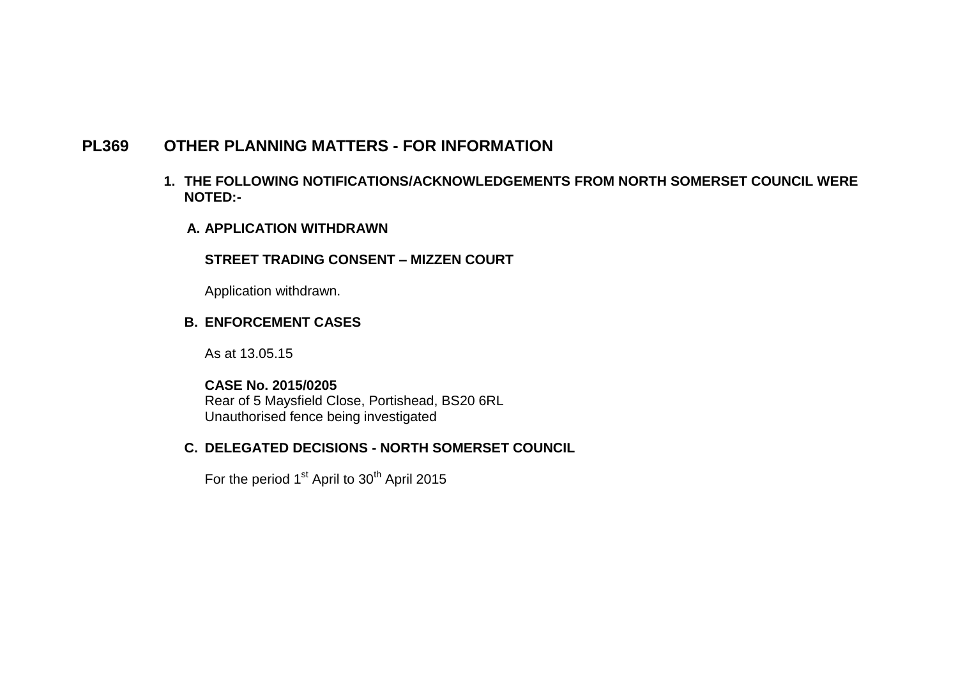## **PL369 OTHER PLANNING MATTERS - FOR INFORMATION**

- **1. THE FOLLOWING NOTIFICATIONS/ACKNOWLEDGEMENTS FROM NORTH SOMERSET COUNCIL WERE NOTED:-**
	- **A. APPLICATION WITHDRAWN**

#### **STREET TRADING CONSENT – MIZZEN COURT**

Application withdrawn.

#### **B. ENFORCEMENT CASES**

As at 13.05.15

## **CASE No. 2015/0205**

Rear of 5 Maysfield Close, Portishead, BS20 6RL Unauthorised fence being investigated

## **C. DELEGATED DECISIONS - NORTH SOMERSET COUNCIL**

For the period 1<sup>st</sup> April to 30<sup>th</sup> April 2015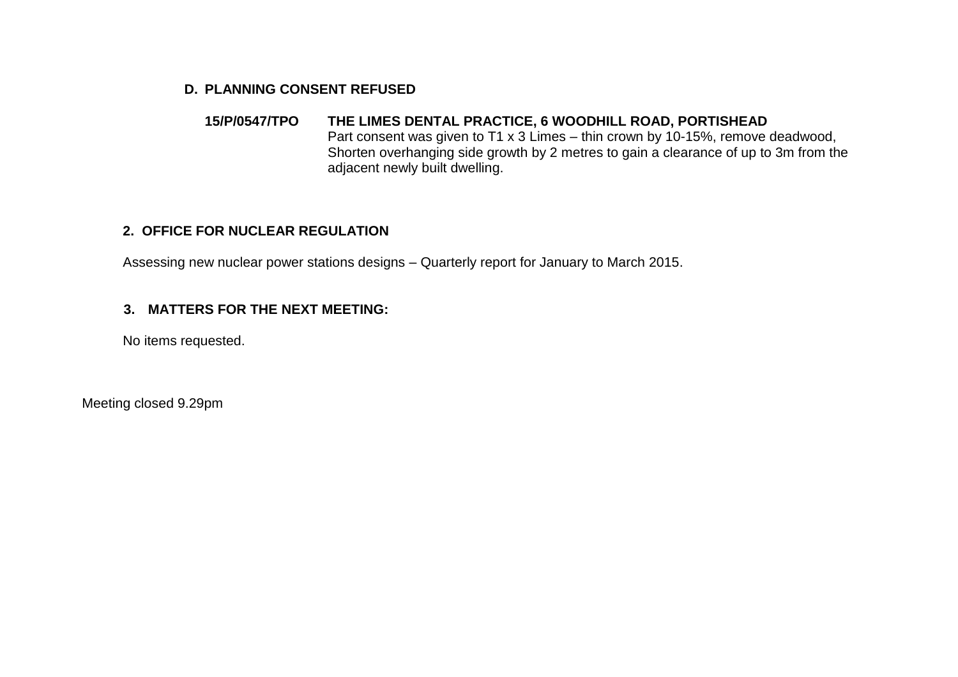#### **D. PLANNING CONSENT REFUSED**

#### **15/P/0547/TPO THE LIMES DENTAL PRACTICE, 6 WOODHILL ROAD, PORTISHEAD** Part consent was given to T1 x 3 Limes – thin crown by 10-15%, remove deadwood, Shorten overhanging side growth by 2 metres to gain a clearance of up to 3m from the adjacent newly built dwelling.

## **2. OFFICE FOR NUCLEAR REGULATION**

Assessing new nuclear power stations designs – Quarterly report for January to March 2015.

## **3. MATTERS FOR THE NEXT MEETING:**

No items requested.

Meeting closed 9.29pm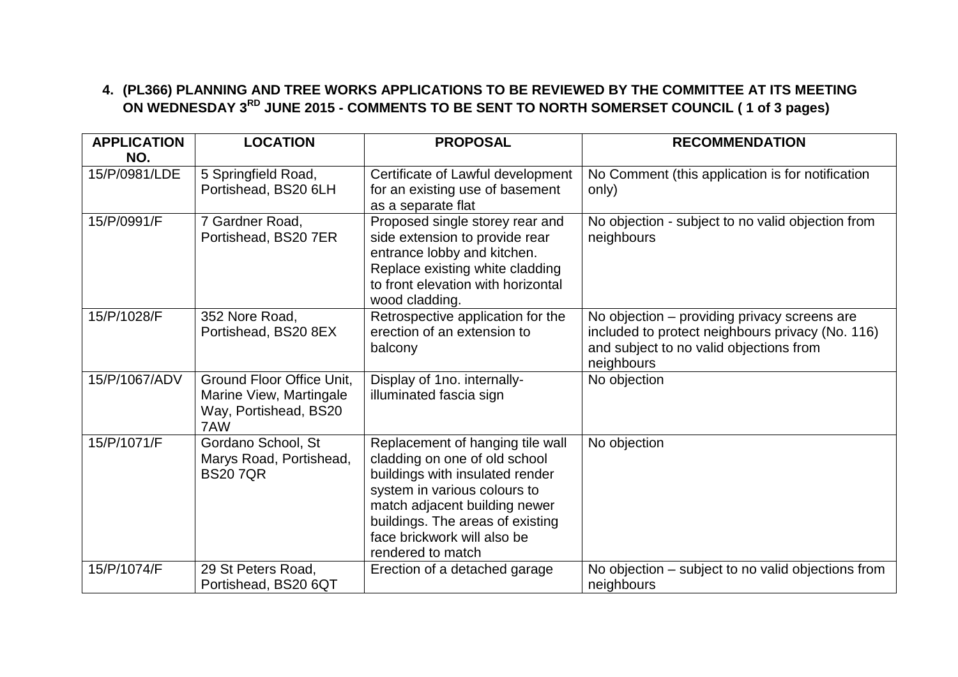## **4. (PL366) PLANNING AND TREE WORKS APPLICATIONS TO BE REVIEWED BY THE COMMITTEE AT ITS MEETING ON WEDNESDAY 3RD JUNE 2015 - COMMENTS TO BE SENT TO NORTH SOMERSET COUNCIL ( 1 of 3 pages)**

| <b>APPLICATION</b><br>NO. | <b>LOCATION</b>                                                                      | <b>PROPOSAL</b>                                                                                                                                                                                                                                               | <b>RECOMMENDATION</b>                                                                                                                                     |
|---------------------------|--------------------------------------------------------------------------------------|---------------------------------------------------------------------------------------------------------------------------------------------------------------------------------------------------------------------------------------------------------------|-----------------------------------------------------------------------------------------------------------------------------------------------------------|
| 15/P/0981/LDE             | 5 Springfield Road,<br>Portishead, BS20 6LH                                          | Certificate of Lawful development<br>for an existing use of basement<br>as a separate flat                                                                                                                                                                    | No Comment (this application is for notification<br>only)                                                                                                 |
| 15/P/0991/F               | 7 Gardner Road,<br>Portishead, BS20 7ER                                              | Proposed single storey rear and<br>side extension to provide rear<br>entrance lobby and kitchen.<br>Replace existing white cladding<br>to front elevation with horizontal<br>wood cladding.                                                                   | No objection - subject to no valid objection from<br>neighbours                                                                                           |
| 15/P/1028/F               | 352 Nore Road,<br>Portishead, BS20 8EX                                               | Retrospective application for the<br>erection of an extension to<br>balcony                                                                                                                                                                                   | No objection – providing privacy screens are<br>included to protect neighbours privacy (No. 116)<br>and subject to no valid objections from<br>neighbours |
| 15/P/1067/ADV             | Ground Floor Office Unit,<br>Marine View, Martingale<br>Way, Portishead, BS20<br>7AW | Display of 1no. internally-<br>illuminated fascia sign                                                                                                                                                                                                        | No objection                                                                                                                                              |
| 15/P/1071/F               | Gordano School, St<br>Marys Road, Portishead,<br><b>BS207QR</b>                      | Replacement of hanging tile wall<br>cladding on one of old school<br>buildings with insulated render<br>system in various colours to<br>match adjacent building newer<br>buildings. The areas of existing<br>face brickwork will also be<br>rendered to match | No objection                                                                                                                                              |
| 15/P/1074/F               | 29 St Peters Road,<br>Portishead, BS20 6QT                                           | Erection of a detached garage                                                                                                                                                                                                                                 | No objection – subject to no valid objections from<br>neighbours                                                                                          |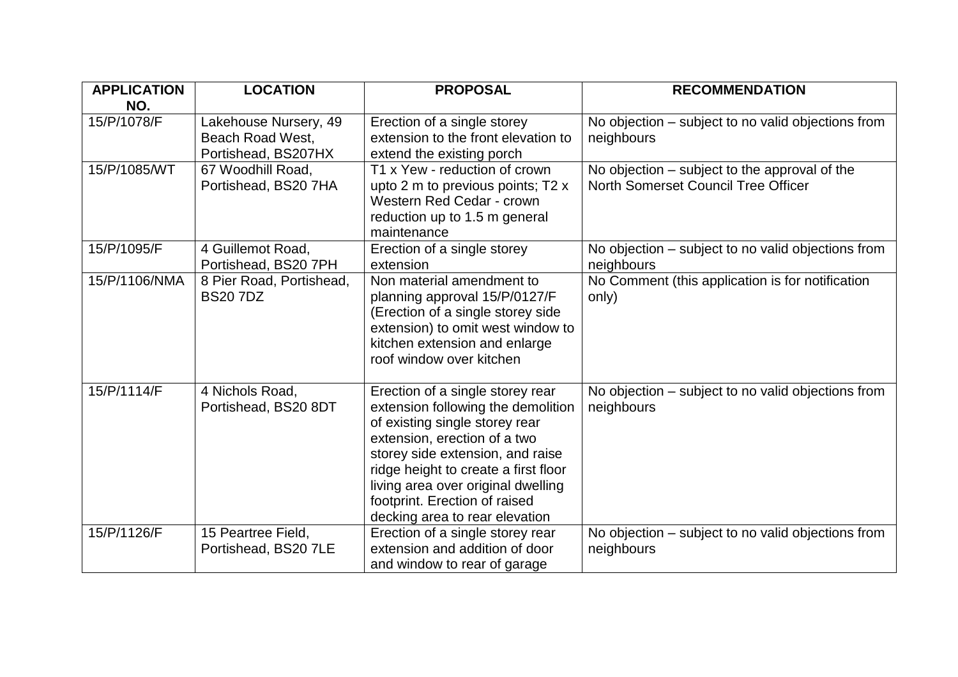| <b>APPLICATION</b> | <b>LOCATION</b>                                                  | <b>PROPOSAL</b>                                                                                                                                                                                                                                                                                                               | <b>RECOMMENDATION</b>                                                                |
|--------------------|------------------------------------------------------------------|-------------------------------------------------------------------------------------------------------------------------------------------------------------------------------------------------------------------------------------------------------------------------------------------------------------------------------|--------------------------------------------------------------------------------------|
| NO.                |                                                                  |                                                                                                                                                                                                                                                                                                                               |                                                                                      |
| 15/P/1078/F        | Lakehouse Nursery, 49<br>Beach Road West,<br>Portishead, BS207HX | Erection of a single storey<br>extension to the front elevation to<br>extend the existing porch                                                                                                                                                                                                                               | No objection – subject to no valid objections from<br>neighbours                     |
| 15/P/1085/WT       | 67 Woodhill Road,<br>Portishead, BS20 7HA                        | T1 x Yew - reduction of crown<br>upto 2 m to previous points; T2 x<br>Western Red Cedar - crown<br>reduction up to 1.5 m general<br>maintenance                                                                                                                                                                               | No objection – subject to the approval of the<br>North Somerset Council Tree Officer |
| 15/P/1095/F        | 4 Guillemot Road,<br>Portishead, BS20 7PH                        | Erection of a single storey<br>extension                                                                                                                                                                                                                                                                                      | No objection – subject to no valid objections from<br>neighbours                     |
| 15/P/1106/NMA      | 8 Pier Road, Portishead,<br><b>BS207DZ</b>                       | Non material amendment to<br>planning approval 15/P/0127/F<br>(Erection of a single storey side<br>extension) to omit west window to<br>kitchen extension and enlarge<br>roof window over kitchen                                                                                                                             | No Comment (this application is for notification<br>only)                            |
| 15/P/1114/F        | 4 Nichols Road,<br>Portishead, BS20 8DT                          | Erection of a single storey rear<br>extension following the demolition<br>of existing single storey rear<br>extension, erection of a two<br>storey side extension, and raise<br>ridge height to create a first floor<br>living area over original dwelling<br>footprint. Erection of raised<br>decking area to rear elevation | No objection – subject to no valid objections from<br>neighbours                     |
| 15/P/1126/F        | 15 Peartree Field,<br>Portishead, BS20 7LE                       | Erection of a single storey rear<br>extension and addition of door<br>and window to rear of garage                                                                                                                                                                                                                            | No objection – subject to no valid objections from<br>neighbours                     |